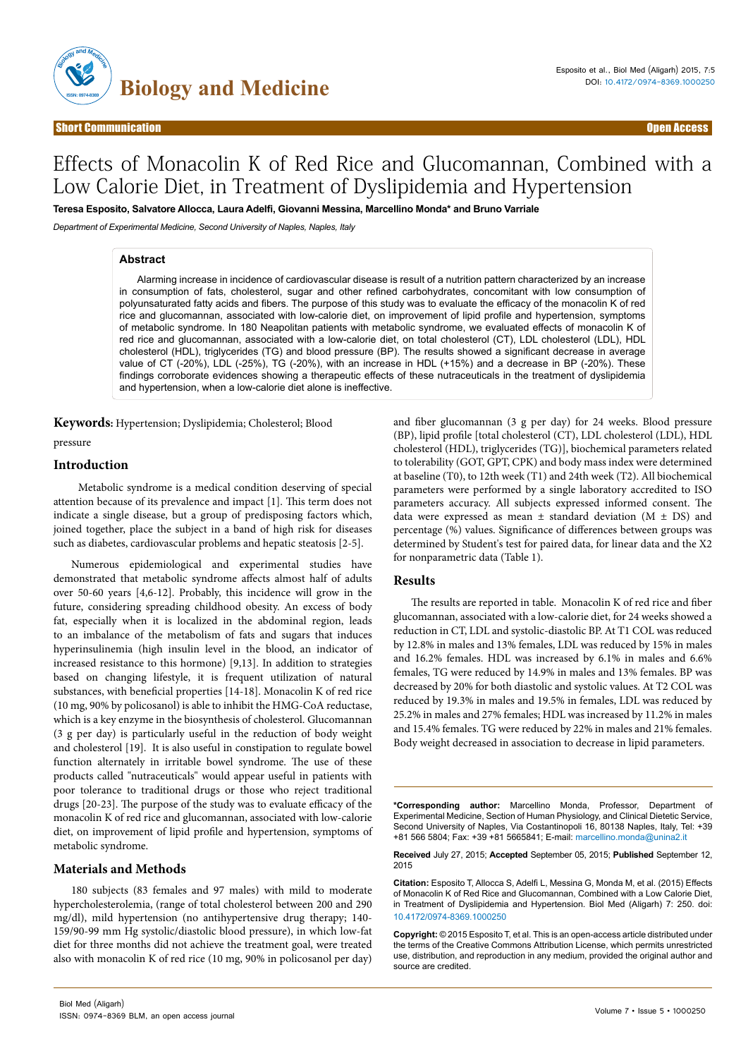

# Effects of Monacolin K of Red Rice and Glucomannan, Combined with a Low Calorie Diet, in Treatment of Dyslipidemia and Hypertension

**Teresa Esposito, Salvatore Allocca, Laura Adelfi, Giovanni Messina, Marcellino Monda\* and Bruno Varriale**

*Department of Experimental Medicine, Second University of Naples, Naples, Italy*

### **Abstract**

Alarming increase in incidence of cardiovascular disease is result of a nutrition pattern characterized by an increase in consumption of fats, cholesterol, sugar and other refined carbohydrates, concomitant with low consumption of polyunsaturated fatty acids and fibers. The purpose of this study was to evaluate the efficacy of the monacolin K of red rice and glucomannan, associated with low-calorie diet, on improvement of lipid profile and hypertension, symptoms of metabolic syndrome. In 180 Neapolitan patients with metabolic syndrome, we evaluated effects of monacolin K of red rice and glucomannan, associated with a low-calorie diet, on total cholesterol (CT), LDL cholesterol (LDL), HDL cholesterol (HDL), triglycerides (TG) and blood pressure (BP). The results showed a significant decrease in average value of CT (-20%), LDL (-25%), TG (-20%), with an increase in HDL (+15%) and a decrease in BP (-20%). These findings corroborate evidences showing a therapeutic effects of these nutraceuticals in the treatment of dyslipidemia and hypertension, when a low-calorie diet alone is ineffective.

**Keywords:** Hypertension; Dyslipidemia; Cholesterol; Blood pressure

## **Introduction**

 Metabolic syndrome is a medical condition deserving of special attention because of its prevalence and impact [1]. This term does not indicate a single disease, but a group of predisposing factors which, joined together, place the subject in a band of high risk for diseases such as diabetes, cardiovascular problems and hepatic steatosis [2-5].

Numerous epidemiological and experimental studies have demonstrated that metabolic syndrome affects almost half of adults over 50-60 years [4,6-12]. Probably, this incidence will grow in the future, considering spreading childhood obesity. An excess of body fat, especially when it is localized in the abdominal region, leads to an imbalance of the metabolism of fats and sugars that induces hyperinsulinemia (high insulin level in the blood, an indicator of increased resistance to this hormone) [9,13]. In addition to strategies based on changing lifestyle, it is frequent utilization of natural substances, with beneficial properties [14-18]. Monacolin K of red rice (10 mg, 90% by policosanol) is able to inhibit the HMG-CoA reductase, which is a key enzyme in the biosynthesis of cholesterol. Glucomannan (3 g per day) is particularly useful in the reduction of body weight and cholesterol [19]. It is also useful in constipation to regulate bowel function alternately in irritable bowel syndrome. The use of these products called "nutraceuticals" would appear useful in patients with poor tolerance to traditional drugs or those who reject traditional drugs [20-23]. The purpose of the study was to evaluate efficacy of the monacolin K of red rice and glucomannan, associated with low-calorie diet, on improvement of lipid profile and hypertension, symptoms of metabolic syndrome.

#### **Materials and Methods**

180 subjects (83 females and 97 males) with mild to moderate hypercholesterolemia, (range of total cholesterol between 200 and 290 mg/dl), mild hypertension (no antihypertensive drug therapy; 140- 159/90-99 mm Hg systolic/diastolic blood pressure), in which low-fat diet for three months did not achieve the treatment goal, were treated also with monacolin K of red rice (10 mg, 90% in policosanol per day)

and fiber glucomannan (3 g per day) for 24 weeks. Blood pressure (BP), lipid profile [total cholesterol (CT), LDL cholesterol (LDL), HDL cholesterol (HDL), triglycerides (TG)], biochemical parameters related to tolerability (GOT, GPT, CPK) and body mass index were determined at baseline (T0), to 12th week (T1) and 24th week (T2). All biochemical parameters were performed by a single laboratory accredited to ISO parameters accuracy. All subjects expressed informed consent. The data were expressed as mean  $\pm$  standard deviation (M  $\pm$  DS) and percentage (%) values. Significance of differences between groups was determined by Student's test for paired data, for linear data and the X2 for nonparametric data (Table 1).

#### **Results**

The results are reported in table. Monacolin K of red rice and fiber glucomannan, associated with a low-calorie diet, for 24 weeks showed a reduction in CT, LDL and systolic-diastolic BP. At T1 COL was reduced by 12.8% in males and 13% females, LDL was reduced by 15% in males and 16.2% females. HDL was increased by 6.1% in males and 6.6% females, TG were reduced by 14.9% in males and 13% females. BP was decreased by 20% for both diastolic and systolic values. At T2 COL was reduced by 19.3% in males and 19.5% in females, LDL was reduced by 25.2% in males and 27% females; HDL was increased by 11.2% in males and 15.4% females. TG were reduced by 22% in males and 21% females. Body weight decreased in association to decrease in lipid parameters.

**\*Corresponding author:** Marcellino Monda, Professor, Department of Experimental Medicine, Section of Human Physiology, and Clinical Dietetic Service, Second University of Naples, Via Costantinopoli 16, 80138 Naples, Italy, Tel: +39 +81 566 5804; Fax: +39 +81 5665841; E-mail: marcellino.monda@unina2.it

**Received** July 27, 2015; **Accepted** September 05, 2015; **Published** September 12, 2015

**Citation:** Esposito T, Allocca S, Adelfi L, Messina G, Monda M, et al. (2015) Effects of Monacolin K of Red Rice and Glucomannan, Combined with a Low Calorie Diet, in Treatment of Dyslipidemia and Hypertension. Biol Med (Aligarh) 7: 250. doi: 10.4172/0974-8369.1000250

**Copyright:** © 2015 Esposito T, et al. This is an open-access article distributed under the terms of the Creative Commons Attribution License, which permits unrestricted use, distribution, and reproduction in any medium, provided the original author and source are credited.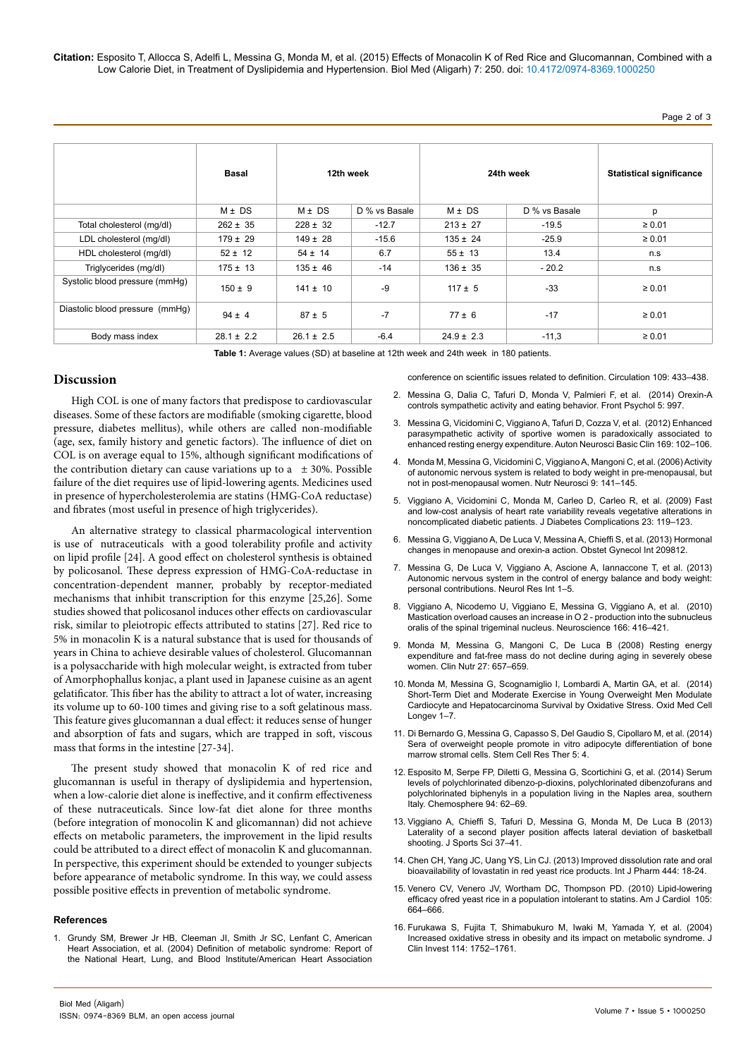**Citation:** Esposito T, Allocca S, Adelfi L, Messina G, Monda M, et al. (2015) Effects of Monacolin K of Red Rice and Glucomannan, Combined with a Low Calorie Diet, in Treatment of Dyslipidemia and Hypertension. Biol Med (Aligarh) 7: 250. doi: 10.4172/0974-8369.1000250

|                                 | Basal          | 12th week      |               | 24th week      |               | <b>Statistical significance</b> |
|---------------------------------|----------------|----------------|---------------|----------------|---------------|---------------------------------|
|                                 | $M \pm DS$     | $M \pm DS$     | D % vs Basale | $M \pm DS$     | D % vs Basale | p                               |
| Total cholesterol (mg/dl)       | $262 \pm 35$   | $228 \pm 32$   | $-12.7$       | $213 \pm 27$   | $-19.5$       | $\geq 0.01$                     |
| LDL cholesterol (mg/dl)         | $179 \pm 29$   | $149 \pm 28$   | $-15.6$       | $135 \pm 24$   | $-25.9$       | $\geq 0.01$                     |
| HDL cholesterol (mg/dl)         | $52 \pm 12$    | $54 \pm 14$    | 6.7           | $55 \pm 13$    | 13.4          | n.s                             |
| Triglycerides (mg/dl)           | $175 \pm 13$   | $135 \pm 46$   | $-14$         | $136 \pm 35$   | $-20.2$       | n.s                             |
| Systolic blood pressure (mmHg)  | $150 \pm 9$    | $141 \pm 10$   | $-9$          | $117 \pm 5$    | $-33$         | $\ge 0.01$                      |
| Diastolic blood pressure (mmHq) | $94 \pm 4$     | $87 \pm 5$     | $-7$          | $77 \pm 6$     | $-17$         | $\geq 0.01$                     |
| Body mass index                 | $28.1 \pm 2.2$ | $26.1 \pm 2.5$ | $-6.4$        | $24.9 \pm 2.3$ | $-11,3$       | $\geq 0.01$                     |

**Table 1:** Average values (SD) at baseline at 12th week and 24th week in 180 patients.

#### [conference on scientific issues related to definition. Circulation 109: 433–438.](http://www.ncbi.nlm.nih.gov/pubmed/14744958)

**Discussion**

High COL is one of many factors that predispose to cardiovascular diseases. Some of these factors are modifiable (smoking cigarette, blood pressure, diabetes mellitus), while others are called non-modifiable (age, sex, family history and genetic factors). The influence of diet on COL is on average equal to 15%, although significant modifications of the contribution dietary can cause variations up to a  $\pm$  30%. Possible failure of the diet requires use of lipid-lowering agents. Medicines used in presence of hypercholesterolemia are statins (HMG-CoA reductase) and fibrates (most useful in presence of high triglycerides).

An alternative strategy to classical pharmacological intervention is use of nutraceuticals with a good tolerability profile and activity on lipid profile [24]. A good effect on cholesterol synthesis is obtained by policosanol. These depress expression of HMG-CoA-reductase in concentration-dependent manner, probably by receptor-mediated mechanisms that inhibit transcription for this enzyme [25,26]. Some studies showed that policosanol induces other effects on cardiovascular risk, similar to pleiotropic effects attributed to statins [27]. Red rice to 5% in monacolin K is a natural substance that is used for thousands of years in China to achieve desirable values of cholesterol. Glucomannan is a polysaccharide with high molecular weight, is extracted from tuber of Amorphophallus konjac, a plant used in Japanese cuisine as an agent gelatificator. This fiber has the ability to attract a lot of water, increasing its volume up to 60-100 times and giving rise to a soft gelatinous mass. This feature gives glucomannan a dual effect: it reduces sense of hunger and absorption of fats and sugars, which are trapped in soft, viscous mass that forms in the intestine [27-34].

The present study showed that monacolin K of red rice and glucomannan is useful in therapy of dyslipidemia and hypertension, when a low-calorie diet alone is ineffective, and it confirm effectiveness of these nutraceuticals. Since low-fat diet alone for three months (before integration of monocolin K and glicomannan) did not achieve effects on metabolic parameters, the improvement in the lipid results could be attributed to a direct effect of monacolin K and glucomannan. In perspective, this experiment should be extended to younger subjects before appearance of metabolic syndrome. In this way, we could assess possible positive effects in prevention of metabolic syndrome.

#### **References**

1. [Grundy SM, Brewer Jr HB, Cleeman JI, Smith Jr SC, Lenfant C, American](http://www.ncbi.nlm.nih.gov/pubmed/14744958) [Heart Association, et al. \(2004\) Definition of metabolic syndrome: Report of](http://www.ncbi.nlm.nih.gov/pubmed/14744958) [the National Heart, Lung, and Blood Institute/American Heart Association](http://www.ncbi.nlm.nih.gov/pubmed/14744958)

- 2. [Messina G, Dalia C, Tafuri D, Monda V, Palmieri F, et al. \(2014\) Orexin-A](http://journal.frontiersin.org/article/10.3389/fpsyg.2014.00997/full) [controls sympathetic activity and eating behavior. Front Psychol 5: 997.](http://journal.frontiersin.org/article/10.3389/fpsyg.2014.00997/full)
- 3. [Messina G, Vicidomini C, Viggiano A, Tafuri D, Cozza V, et al. \(2012\) Enhanced](http://www.ncbi.nlm.nih.gov/pubmed/22682704)  [parasympathetic activity of sportive women is paradoxically associated to](http://www.ncbi.nlm.nih.gov/pubmed/22682704) [enhanced resting energy expenditure. Auton Neurosci Basic Clin 169: 102–106.](http://www.ncbi.nlm.nih.gov/pubmed/22682704)
- 4. [Monda M, Messina G, Vicidomini C, Viggiano A, Mangoni C, et al. \(2006\) Activity](http://www.maneyonline.com/doi/abs/10.1080/10284150600903552)  [of autonomic nervous system is related to body weight in pre-menopausal, but](http://www.maneyonline.com/doi/abs/10.1080/10284150600903552)  [not in post-menopausal women. Nutr Neurosci 9: 141–145.](http://www.maneyonline.com/doi/abs/10.1080/10284150600903552)
- 5. [Viggiano A, Vicidomini C, Monda M, Carleo D, Carleo R, et al. \(2009\) Fast](http://www.ncbi.nlm.nih.gov/pubmed/18413209) [and low-cost analysis of heart rate variability reveals vegetative alterations in](http://www.ncbi.nlm.nih.gov/pubmed/18413209) [noncomplicated diabetic patients. J Diabetes Complications 23: 119–123.](http://www.ncbi.nlm.nih.gov/pubmed/18413209)
- 6. [Messina G, Viggiano A, De Luca V, Messina A, Chieffi S, et al. \(2013\) Hormonal](http://www.hindawi.com/journals/ogi/2013/209812/)  [changes in menopause and orexin-a action. Obstet Gynecol Int 209812.](http://www.hindawi.com/journals/ogi/2013/209812/)
- 7. [Messina G, De Luca V, Viggiano A, Ascione A, Iannaccone T, et al. \(2013\)](http://www.hindawi.com/journals/nri/2013/639280/) [Autonomic nervous system in the control of energy balance and body weight:](http://www.hindawi.com/journals/nri/2013/639280/) [personal contributions. Neurol Res Int 1–5.](http://www.hindawi.com/journals/nri/2013/639280/)
- 8. [Viggiano A, Nicodemo U, Viggiano E, Messina G, Viggiano A, et al. \(2010\)](http://www.ncbi.nlm.nih.gov/pubmed/20045451) [Mastication overload causes an increase in O 2 - production into the subnucleus](http://www.ncbi.nlm.nih.gov/pubmed/20045451)  [oralis of the spinal trigeminal nucleus. Neuroscience 166: 416–421.](http://www.ncbi.nlm.nih.gov/pubmed/20045451)
- 9. [Monda M, Messina G, Mangoni C, De Luca B \(2008\) Resting energy](http://www.clinicalnutritionjournal.com/article/S0261-5614(08)00071-X/abstract) [expenditure and fat-free mass do not decline during aging in severely obese](http://www.clinicalnutritionjournal.com/article/S0261-5614(08)00071-X/abstract) [women. Clin Nutr 27: 657–659.](http://www.clinicalnutritionjournal.com/article/S0261-5614(08)00071-X/abstract)
- 10. [Monda M, Messina G, Scognamiglio I, Lombardi A, Martin GA, et al. \(2014\)](http://www.hindawi.com/journals/omcl/2014/131024/) [Short-Term Diet and Moderate Exercise in Young Overweight Men Modulate](http://www.hindawi.com/journals/omcl/2014/131024/) [Cardiocyte and Hepatocarcinoma Survival by Oxidative Stress. Oxid Med Cell](http://www.hindawi.com/journals/omcl/2014/131024/) [Longev 1–7.](http://www.hindawi.com/journals/omcl/2014/131024/)
- 11. [Di Bernardo G, Messina G, Capasso S, Del Gaudio S, Cipollaro M, et al. \(2014\)](http://www.ncbi.nlm.nih.gov/pubmed/24405848)  [Sera of overweight people promote in vitro adipocyte differentiation of bone](http://www.ncbi.nlm.nih.gov/pubmed/24405848) [marrow stromal cells. Stem Cell Res Ther 5: 4.](http://www.ncbi.nlm.nih.gov/pubmed/24405848)
- 12. [Esposito M, Serpe FP, Diletti G, Messina G, Scortichini G, et al. \(2014\) Serum](http://www.sciencedirect.com/science/article/pii/S0045653513012423) [levels of polychlorinated dibenzo-p-dioxins, polychlorinated dibenzofurans and](http://www.sciencedirect.com/science/article/pii/S0045653513012423) [polychlorinated biphenyls in a population living in the Naples area, southern](http://www.sciencedirect.com/science/article/pii/S0045653513012423) [Italy. Chemosphere 94: 62–69.](http://www.sciencedirect.com/science/article/pii/S0045653513012423)
- 13. [Viggiano A, Chieffi S, Tafuri D, Messina G, Monda M, De Luca B \(2013\)](http://www.ncbi.nlm.nih.gov/pubmed/23876006)  [Laterality of a second player position affects lateral deviation of basketball](http://www.ncbi.nlm.nih.gov/pubmed/23876006) [shooting. J Sports Sci 37–41.](http://www.ncbi.nlm.nih.gov/pubmed/23876006)
- 14. [Chen CH, Yang JC, Uang YS, Lin CJ. \(2013\) Improved dissolution rate and oral](http://www.ncbi.nlm.nih.gov/pubmed/23352857)  [bioavailability of lovastatin in red yeast rice products. Int J Pharm 444: 18-24.](http://www.ncbi.nlm.nih.gov/pubmed/23352857)
- 15. [Venero CV, Venero JV, Wortham DC, Thompson PD. \(2010\) Lipid-lowering](http://www.ncbi.nlm.nih.gov/pubmed/20185013) [efficacy ofred yeast rice in a population intolerant to statins. Am J Cardiol 105:](http://www.ncbi.nlm.nih.gov/pubmed/20185013)  [664–666.](http://www.ncbi.nlm.nih.gov/pubmed/20185013)
- 16. [Furukawa S, Fujita T, Shimabukuro M, Iwaki M, Yamada Y, et al. \(2004\)](http://www.ncbi.nlm.nih.gov/pubmed/15599400) [Increased oxidative stress in obesity and its impact on metabolic syndrome. J](http://www.ncbi.nlm.nih.gov/pubmed/15599400) [Clin Invest 114: 1752–1761.](http://www.ncbi.nlm.nih.gov/pubmed/15599400)